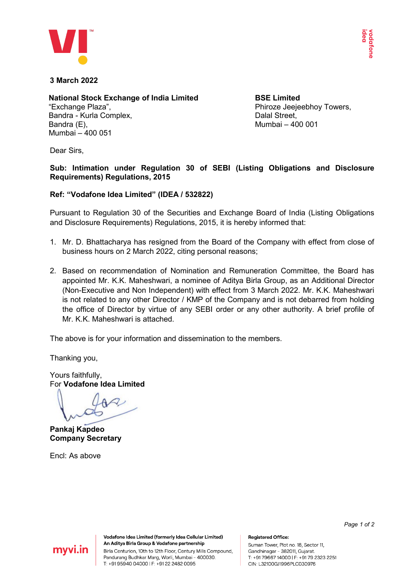

## **3 March 2022**

### **National Stock Exchange of India Limited** "Exchange Plaza", Bandra - Kurla Complex, Bandra (E), Mumbai – 400 051

**BSE Limited** Phiroze Jeejeebhoy Towers, Dalal Street, Mumbai – 400 001

Dear Sirs,

**Sub: Intimation under Regulation 30 of SEBI (Listing Obligations and Disclosure Requirements) Regulations, 2015**

## **Ref: "Vodafone Idea Limited" (IDEA / 532822)**

Pursuant to Regulation 30 of the Securities and Exchange Board of India (Listing Obligations and Disclosure Requirements) Regulations, 2015, it is hereby informed that:

- 1. Mr. D. Bhattacharya has resigned from the Board of the Company with effect from close of business hours on 2 March 2022, citing personal reasons;
- 2. Based on recommendation of Nomination and Remuneration Committee, the Board has appointed Mr. K.K. Maheshwari, a nominee of Aditya Birla Group, as an Additional Director (Non-Executive and Non Independent) with effect from 3 March 2022. Mr. K.K. Maheshwari is not related to any other Director / KMP of the Company and is not debarred from holding the office of Director by virtue of any SEBI order or any other authority. A brief profile of Mr. K.K. Maheshwari is attached.

The above is for your information and dissemination to the members.

Thanking you,

Yours faithfully, For **Vodafone Idea Limited**

**Pankaj Kapdeo Company Secretary**

Encl: As above

*Page 1 of 2*



Vodafone Idea Limited (formerly Idea Cellular Limited) An Aditya Birla Group & Vodafone partnership Birla Centurion, 10th to 12th Floor, Century Mills Compound, Pandurang Budhkar Marg, Worli, Mumbai - 400030. T: +91 95940 04000 | F: +91 22 2482 0095

#### **Registered Office:**

Suman Tower, Plot no. 18, Sector 11, Gandhinagar - 382011, Gujarat. T: +9179667 14000 | F: +9179 2323 2251 CIN: L32100GJ1996PLC030976